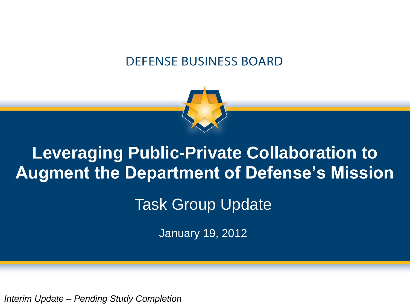#### **DEFENSE BUSINESS BOARD**



### **Leveraging Public-Private Collaboration to Augment the Department of Defense's Mission**

### Task Group Update

January 19, 2012

*Interim Update – Pending Study Completion*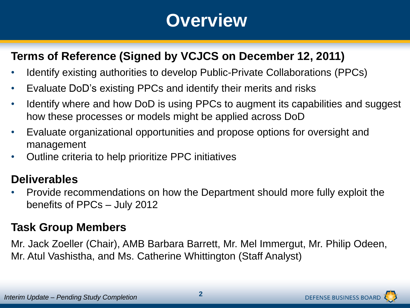### **Overview**

#### **Terms of Reference (Signed by VCJCS on December 12, 2011)**

- Identify existing authorities to develop Public-Private Collaborations (PPCs)
- Evaluate DoD's existing PPCs and identify their merits and risks
- Identify where and how DoD is using PPCs to augment its capabilities and suggest how these processes or models might be applied across DoD
- Evaluate organizational opportunities and propose options for oversight and management
- Outline criteria to help prioritize PPC initiatives

#### **Deliverables**

• Provide recommendations on how the Department should more fully exploit the benefits of PPCs – July 2012

#### **Task Group Members**

Mr. Jack Zoeller (Chair), AMB Barbara Barrett, Mr. Mel Immergut, Mr. Philip Odeen, Mr. Atul Vashistha, and Ms. Catherine Whittington (Staff Analyst)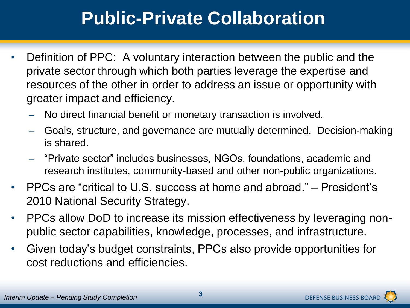## **Public-Private Collaboration**

- Definition of PPC: A voluntary interaction between the public and the private sector through which both parties leverage the expertise and resources of the other in order to address an issue or opportunity with greater impact and efficiency.
	- No direct financial benefit or monetary transaction is involved.
	- Goals, structure, and governance are mutually determined. Decision-making is shared.
	- "Private sector" includes businesses, NGOs, foundations, academic and research institutes, community-based and other non-public organizations.
- PPCs are "critical to U.S. success at home and abroad." President's 2010 National Security Strategy.
- PPCs allow DoD to increase its mission effectiveness by leveraging nonpublic sector capabilities, knowledge, processes, and infrastructure.
- Given today's budget constraints, PPCs also provide opportunities for cost reductions and efficiencies.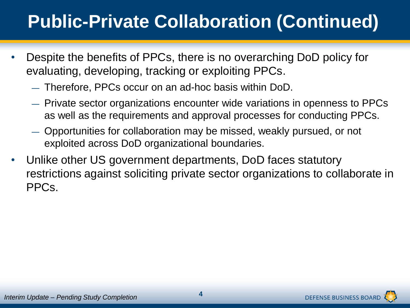# **Public-Private Collaboration (Continued)**

- Despite the benefits of PPCs, there is no overarching DoD policy for evaluating, developing, tracking or exploiting PPCs.
	- ― Therefore, PPCs occur on an ad-hoc basis within DoD.
	- ― Private sector organizations encounter wide variations in openness to PPCs as well as the requirements and approval processes for conducting PPCs.
	- ― Opportunities for collaboration may be missed, weakly pursued, or not exploited across DoD organizational boundaries.
- Unlike other US government departments, DoD faces statutory restrictions against soliciting private sector organizations to collaborate in PPCs.